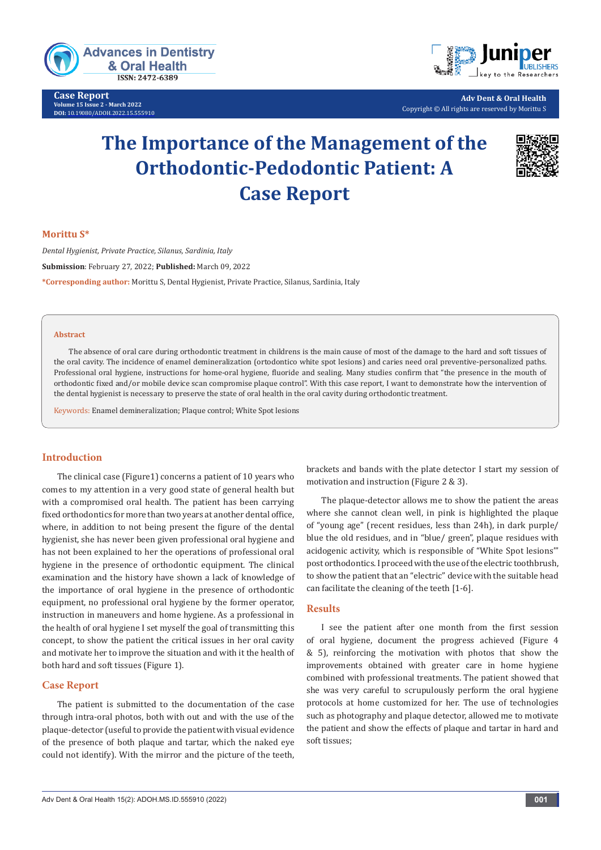

**Case Report Volume 15 Issue 2 - March 2022 DOI:** [10.19080/ADOH.2022.15.555](http://dx.doi.org/10.19080/ADOH.2022.15.555910)910



**Adv Dent & Oral Health** Copyright © All rights are reserved by Morittu S

# **The Importance of the Management of the Orthodontic-Pedodontic Patient: A Case Report**



#### **Morittu S\***

*Dental Hygienist, Private Practice, Silanus, Sardinia, Italy* **Submission**: February 27, 2022; **Published:** March 09, 2022 **\*Corresponding author:** Morittu S, Dental Hygienist, Private Practice, Silanus, Sardinia, Italy

#### **Abstract**

The absence of oral care during orthodontic treatment in childrens is the main cause of most of the damage to the hard and soft tissues of the oral cavity. The incidence of enamel demineralization (ortodontico white spot lesions) and caries need oral preventive-personalized paths. Professional oral hygiene, instructions for home-oral hygiene, fluoride and sealing. Many studies confirm that "the presence in the mouth of orthodontic fixed and/or mobile device scan compromise plaque control". With this case report, I want to demonstrate how the intervention of the dental hygienist is necessary to preserve the state of oral health in the oral cavity during orthodontic treatment.

Keywords: Enamel demineralization; Plaque control; White Spot lesions

## **Introduction**

The clinical case (Figure1) concerns a patient of 10 years who comes to my attention in a very good state of general health but with a compromised oral health. The patient has been carrying fixed orthodontics for more than two years at another dental office, where, in addition to not being present the figure of the dental hygienist, she has never been given professional oral hygiene and has not been explained to her the operations of professional oral hygiene in the presence of orthodontic equipment. The clinical examination and the history have shown a lack of knowledge of the importance of oral hygiene in the presence of orthodontic equipment, no professional oral hygiene by the former operator, instruction in maneuvers and home hygiene. As a professional in the health of oral hygiene I set myself the goal of transmitting this concept, to show the patient the critical issues in her oral cavity and motivate her to improve the situation and with it the health of both hard and soft tissues (Figure 1).

#### **Case Report**

The patient is submitted to the documentation of the case through intra-oral photos, both with out and with the use of the plaque-detector (useful to provide the patient with visual evidence of the presence of both plaque and tartar, which the naked eye could not identify). With the mirror and the picture of the teeth,

brackets and bands with the plate detector I start my session of motivation and instruction (Figure 2 & 3).

The plaque-detector allows me to show the patient the areas where she cannot clean well, in pink is highlighted the plaque of "young age" (recent residues, less than 24h), in dark purple/ blue the old residues, and in "blue/ green", plaque residues with acidogenic activity, which is responsible of "White Spot lesions'" post orthodontics. I proceed with the use of the electric toothbrush, to show the patient that an "electric" device with the suitable head can facilitate the cleaning of the teeth [1-6].

#### **Results**

I see the patient after one month from the first session of oral hygiene, document the progress achieved (Figure 4 & 5), reinforcing the motivation with photos that show the improvements obtained with greater care in home hygiene combined with professional treatments. The patient showed that she was very careful to scrupulously perform the oral hygiene protocols at home customized for her. The use of technologies such as photography and plaque detector, allowed me to motivate the patient and show the effects of plaque and tartar in hard and soft tissues;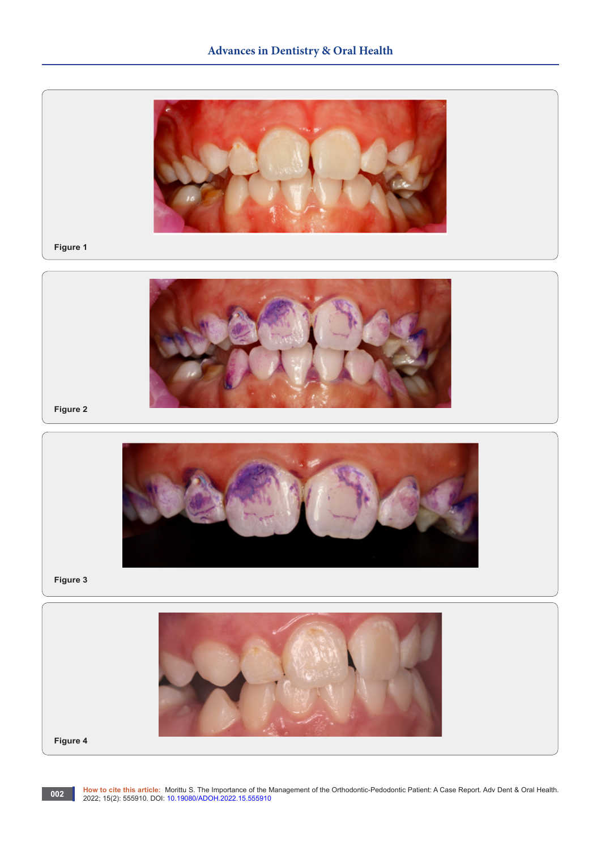

**Figure 1**



**Figure 2**



**Figure 3**



**Figure 4**

**002**